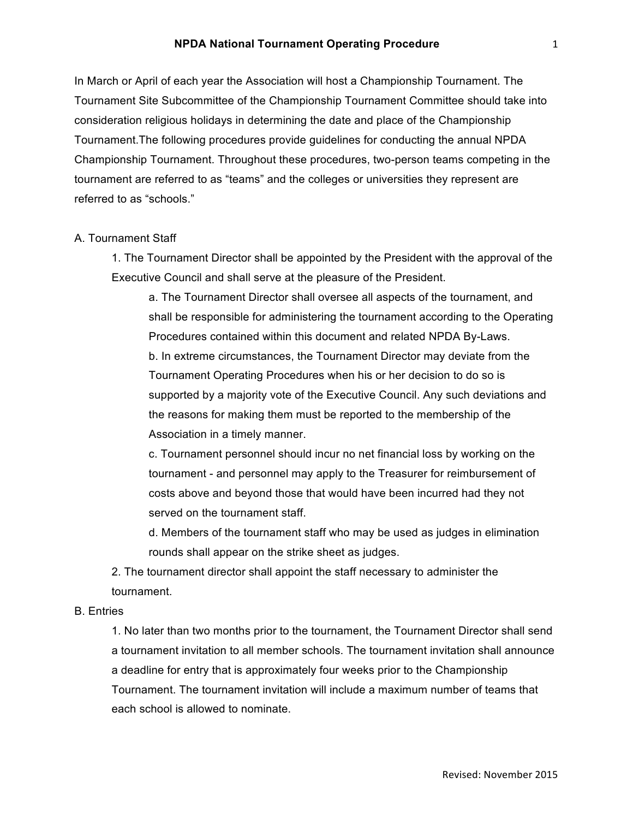In March or April of each year the Association will host a Championship Tournament. The Tournament Site Subcommittee of the Championship Tournament Committee should take into consideration religious holidays in determining the date and place of the Championship Tournament.The following procedures provide guidelines for conducting the annual NPDA Championship Tournament. Throughout these procedures, two-person teams competing in the tournament are referred to as "teams" and the colleges or universities they represent are referred to as "schools."

#### A. Tournament Staff

1. The Tournament Director shall be appointed by the President with the approval of the Executive Council and shall serve at the pleasure of the President.

a. The Tournament Director shall oversee all aspects of the tournament, and shall be responsible for administering the tournament according to the Operating Procedures contained within this document and related NPDA By-Laws. b. In extreme circumstances, the Tournament Director may deviate from the Tournament Operating Procedures when his or her decision to do so is supported by a majority vote of the Executive Council. Any such deviations and the reasons for making them must be reported to the membership of the Association in a timely manner.

c. Tournament personnel should incur no net financial loss by working on the tournament - and personnel may apply to the Treasurer for reimbursement of costs above and beyond those that would have been incurred had they not served on the tournament staff.

d. Members of the tournament staff who may be used as judges in elimination rounds shall appear on the strike sheet as judges.

2. The tournament director shall appoint the staff necessary to administer the tournament.

# B. Entries

1. No later than two months prior to the tournament, the Tournament Director shall send a tournament invitation to all member schools. The tournament invitation shall announce a deadline for entry that is approximately four weeks prior to the Championship Tournament. The tournament invitation will include a maximum number of teams that each school is allowed to nominate.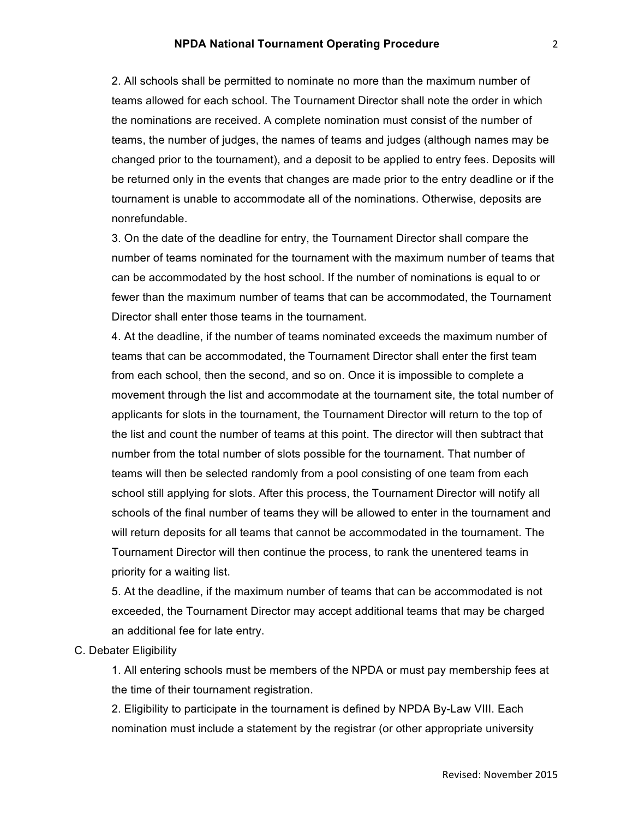2. All schools shall be permitted to nominate no more than the maximum number of teams allowed for each school. The Tournament Director shall note the order in which the nominations are received. A complete nomination must consist of the number of teams, the number of judges, the names of teams and judges (although names may be changed prior to the tournament), and a deposit to be applied to entry fees. Deposits will be returned only in the events that changes are made prior to the entry deadline or if the tournament is unable to accommodate all of the nominations. Otherwise, deposits are nonrefundable.

3. On the date of the deadline for entry, the Tournament Director shall compare the number of teams nominated for the tournament with the maximum number of teams that can be accommodated by the host school. If the number of nominations is equal to or fewer than the maximum number of teams that can be accommodated, the Tournament Director shall enter those teams in the tournament.

4. At the deadline, if the number of teams nominated exceeds the maximum number of teams that can be accommodated, the Tournament Director shall enter the first team from each school, then the second, and so on. Once it is impossible to complete a movement through the list and accommodate at the tournament site, the total number of applicants for slots in the tournament, the Tournament Director will return to the top of the list and count the number of teams at this point. The director will then subtract that number from the total number of slots possible for the tournament. That number of teams will then be selected randomly from a pool consisting of one team from each school still applying for slots. After this process, the Tournament Director will notify all schools of the final number of teams they will be allowed to enter in the tournament and will return deposits for all teams that cannot be accommodated in the tournament. The Tournament Director will then continue the process, to rank the unentered teams in priority for a waiting list.

5. At the deadline, if the maximum number of teams that can be accommodated is not exceeded, the Tournament Director may accept additional teams that may be charged an additional fee for late entry.

# C. Debater Eligibility

1. All entering schools must be members of the NPDA or must pay membership fees at the time of their tournament registration.

2. Eligibility to participate in the tournament is defined by NPDA By-Law VIII. Each nomination must include a statement by the registrar (or other appropriate university 2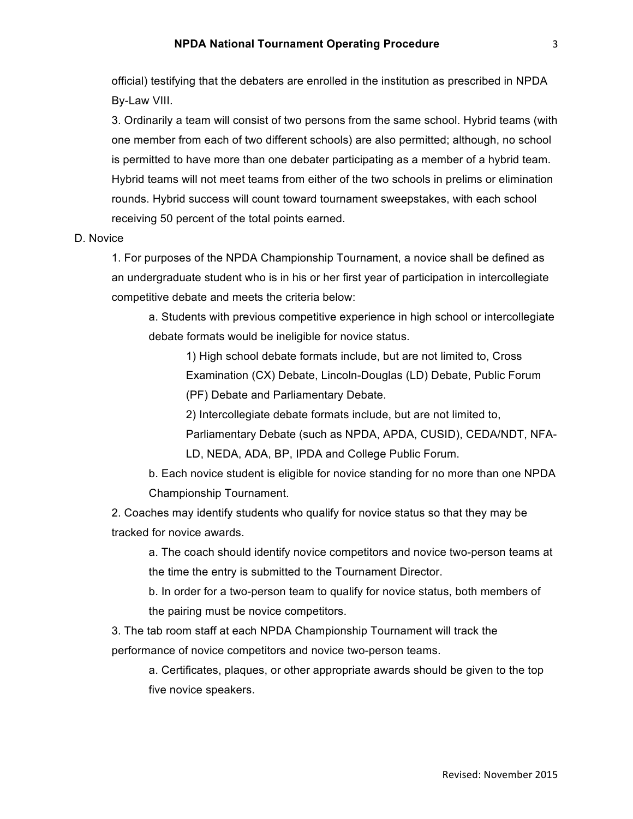official) testifying that the debaters are enrolled in the institution as prescribed in NPDA By-Law VIII.

3. Ordinarily a team will consist of two persons from the same school. Hybrid teams (with one member from each of two different schools) are also permitted; although, no school is permitted to have more than one debater participating as a member of a hybrid team. Hybrid teams will not meet teams from either of the two schools in prelims or elimination rounds. Hybrid success will count toward tournament sweepstakes, with each school receiving 50 percent of the total points earned.

#### D. Novice

1. For purposes of the NPDA Championship Tournament, a novice shall be defined as an undergraduate student who is in his or her first year of participation in intercollegiate competitive debate and meets the criteria below:

a. Students with previous competitive experience in high school or intercollegiate debate formats would be ineligible for novice status.

1) High school debate formats include, but are not limited to, Cross Examination (CX) Debate, Lincoln-Douglas (LD) Debate, Public Forum (PF) Debate and Parliamentary Debate.

2) Intercollegiate debate formats include, but are not limited to,

Parliamentary Debate (such as NPDA, APDA, CUSID), CEDA/NDT, NFA-LD, NEDA, ADA, BP, IPDA and College Public Forum.

b. Each novice student is eligible for novice standing for no more than one NPDA Championship Tournament.

2. Coaches may identify students who qualify for novice status so that they may be tracked for novice awards.

a. The coach should identify novice competitors and novice two-person teams at the time the entry is submitted to the Tournament Director.

b. In order for a two-person team to qualify for novice status, both members of the pairing must be novice competitors.

3. The tab room staff at each NPDA Championship Tournament will track the performance of novice competitors and novice two-person teams.

a. Certificates, plaques, or other appropriate awards should be given to the top five novice speakers.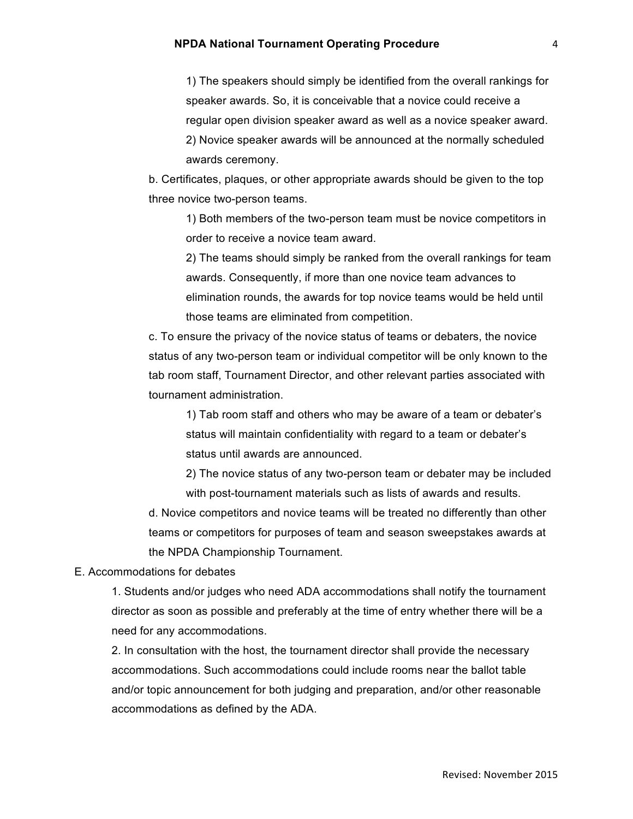1) The speakers should simply be identified from the overall rankings for speaker awards. So, it is conceivable that a novice could receive a regular open division speaker award as well as a novice speaker award. 2) Novice speaker awards will be announced at the normally scheduled awards ceremony.

b. Certificates, plaques, or other appropriate awards should be given to the top three novice two-person teams.

1) Both members of the two-person team must be novice competitors in order to receive a novice team award.

2) The teams should simply be ranked from the overall rankings for team awards. Consequently, if more than one novice team advances to elimination rounds, the awards for top novice teams would be held until those teams are eliminated from competition.

c. To ensure the privacy of the novice status of teams or debaters, the novice status of any two-person team or individual competitor will be only known to the tab room staff, Tournament Director, and other relevant parties associated with tournament administration.

1) Tab room staff and others who may be aware of a team or debater's status will maintain confidentiality with regard to a team or debater's status until awards are announced.

2) The novice status of any two-person team or debater may be included with post-tournament materials such as lists of awards and results.

d. Novice competitors and novice teams will be treated no differently than other teams or competitors for purposes of team and season sweepstakes awards at the NPDA Championship Tournament.

E. Accommodations for debates

1. Students and/or judges who need ADA accommodations shall notify the tournament director as soon as possible and preferably at the time of entry whether there will be a need for any accommodations.

2. In consultation with the host, the tournament director shall provide the necessary accommodations. Such accommodations could include rooms near the ballot table and/or topic announcement for both judging and preparation, and/or other reasonable accommodations as defined by the ADA.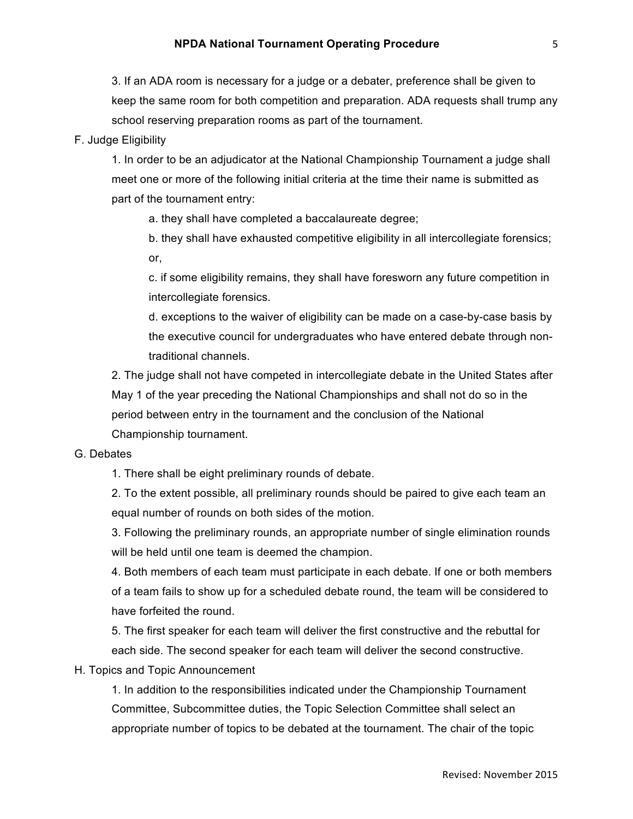3. If an ADA room is necessary for a judge or a debater, preference shall be given to keep the same room for both competition and preparation. ADA requests shall trump any school reserving preparation rooms as part of the tournament.

# F. Judge Eligibility

1. In order to be an adjudicator at the National Championship Tournament a judge shall meet one or more of the following initial criteria at the time their name is submitted as part of the tournament entry:

a. they shall have completed a baccalaureate degree;

b. they shall have exhausted competitive eligibility in all intercollegiate forensics; or,

c. if some eligibility remains, they shall have foresworn any future competition in intercollegiate forensics.

d. exceptions to the waiver of eligibility can be made on a case-by-case basis by the executive council for undergraduates who have entered debate through nontraditional channels.

2. The judge shall not have competed in intercollegiate debate in the United States after May 1 of the year preceding the National Championships and shall not do so in the period between entry in the tournament and the conclusion of the National Championship tournament.

## G. Debates

1. There shall be eight preliminary rounds of debate.

2. To the extent possible, all preliminary rounds should be paired to give each team an equal number of rounds on both sides of the motion.

3. Following the preliminary rounds, an appropriate number of single elimination rounds will be held until one team is deemed the champion.

4. Both members of each team must participate in each debate. If one or both members of a team fails to show up for a scheduled debate round, the team will be considered to have forfeited the round.

5. The first speaker for each team will deliver the first constructive and the rebuttal for each side. The second speaker for each team will deliver the second constructive.

#### H. Topics and Topic Announcement

1. In addition to the responsibilities indicated under the Championship Tournament Committee, Subcommittee duties, the Topic Selection Committee shall select an appropriate number of topics to be debated at the tournament. The chair of the topic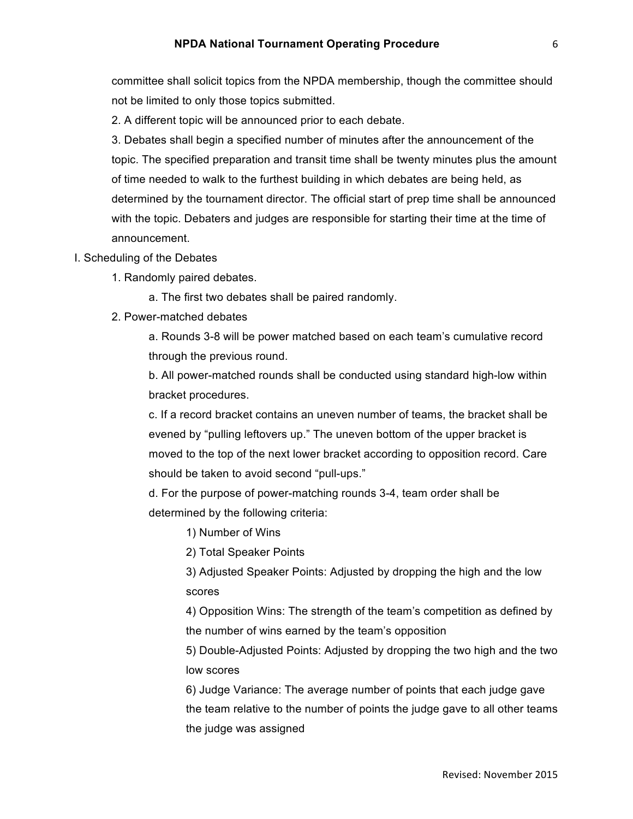committee shall solicit topics from the NPDA membership, though the committee should not be limited to only those topics submitted.

2. A different topic will be announced prior to each debate.

3. Debates shall begin a specified number of minutes after the announcement of the topic. The specified preparation and transit time shall be twenty minutes plus the amount of time needed to walk to the furthest building in which debates are being held, as determined by the tournament director. The official start of prep time shall be announced with the topic. Debaters and judges are responsible for starting their time at the time of announcement.

- I. Scheduling of the Debates
	- 1. Randomly paired debates.
		- a. The first two debates shall be paired randomly.
	- 2. Power-matched debates

a. Rounds 3-8 will be power matched based on each team's cumulative record through the previous round.

b. All power-matched rounds shall be conducted using standard high-low within bracket procedures.

c. If a record bracket contains an uneven number of teams, the bracket shall be evened by "pulling leftovers up." The uneven bottom of the upper bracket is moved to the top of the next lower bracket according to opposition record. Care should be taken to avoid second "pull-ups."

d. For the purpose of power-matching rounds 3-4, team order shall be determined by the following criteria:

1) Number of Wins

2) Total Speaker Points

3) Adjusted Speaker Points: Adjusted by dropping the high and the low scores

4) Opposition Wins: The strength of the team's competition as defined by the number of wins earned by the team's opposition

5) Double-Adjusted Points: Adjusted by dropping the two high and the two low scores

6) Judge Variance: The average number of points that each judge gave the team relative to the number of points the judge gave to all other teams the judge was assigned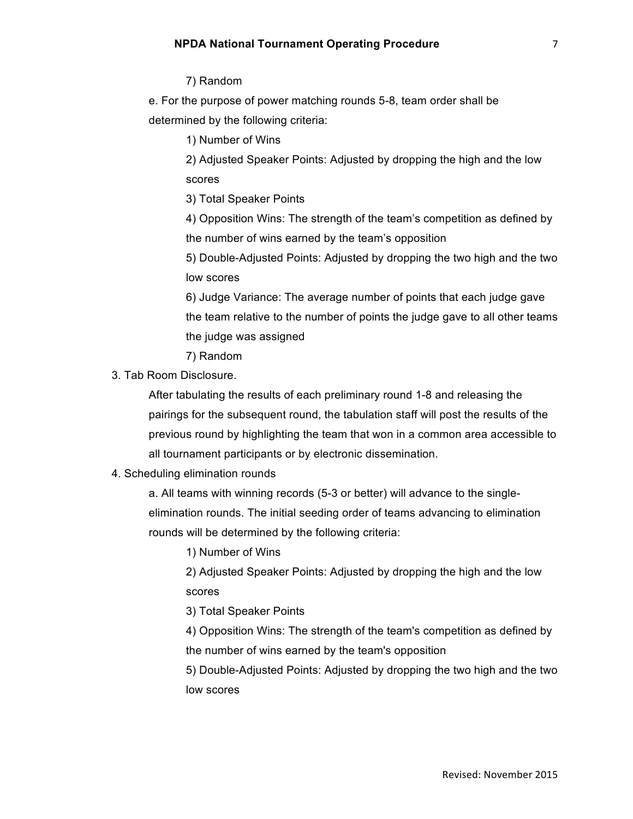### 7) Random

e. For the purpose of power matching rounds 5-8, team order shall be determined by the following criteria:

1) Number of Wins

2) Adjusted Speaker Points: Adjusted by dropping the high and the low scores

3) Total Speaker Points

4) Opposition Wins: The strength of the team's competition as defined by the number of wins earned by the team's opposition

5) Double-Adjusted Points: Adjusted by dropping the two high and the two low scores

6) Judge Variance: The average number of points that each judge gave the team relative to the number of points the judge gave to all other teams the judge was assigned

7) Random

3. Tab Room Disclosure.

After tabulating the results of each preliminary round 1-8 and releasing the pairings for the subsequent round, the tabulation staff will post the results of the previous round by highlighting the team that won in a common area accessible to all tournament participants or by electronic dissemination.

# 4. Scheduling elimination rounds

a. All teams with winning records (5-3 or better) will advance to the singleelimination rounds. The initial seeding order of teams advancing to elimination rounds will be determined by the following criteria:

1) Number of Wins

2) Adjusted Speaker Points: Adjusted by dropping the high and the low scores

3) Total Speaker Points

4) Opposition Wins: The strength of the team's competition as defined by the number of wins earned by the team's opposition

5) Double-Adjusted Points: Adjusted by dropping the two high and the two low scores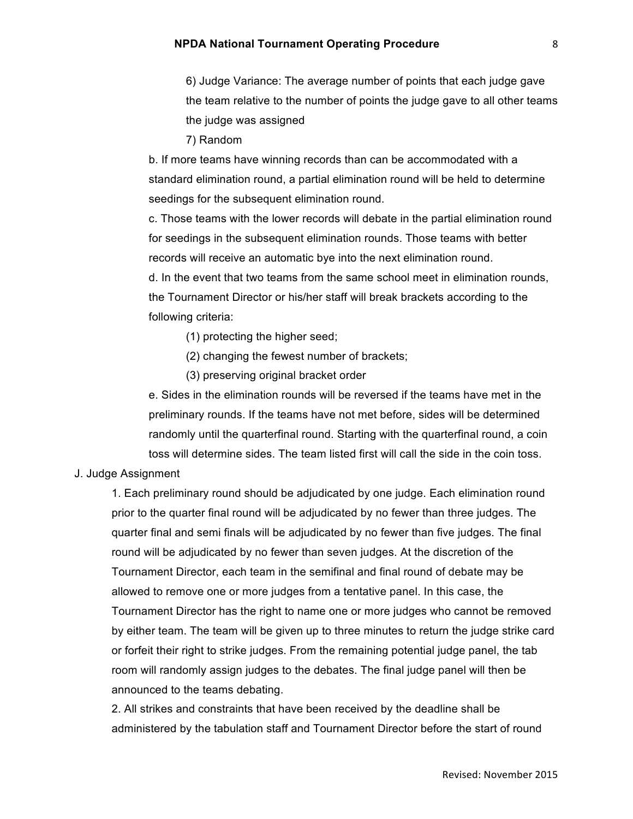6) Judge Variance: The average number of points that each judge gave the team relative to the number of points the judge gave to all other teams the judge was assigned

7) Random

b. If more teams have winning records than can be accommodated with a standard elimination round, a partial elimination round will be held to determine seedings for the subsequent elimination round.

c. Those teams with the lower records will debate in the partial elimination round for seedings in the subsequent elimination rounds. Those teams with better records will receive an automatic bye into the next elimination round. d. In the event that two teams from the same school meet in elimination rounds, the Tournament Director or his/her staff will break brackets according to the

following criteria:

- (1) protecting the higher seed;
- (2) changing the fewest number of brackets;
- (3) preserving original bracket order

e. Sides in the elimination rounds will be reversed if the teams have met in the preliminary rounds. If the teams have not met before, sides will be determined randomly until the quarterfinal round. Starting with the quarterfinal round, a coin toss will determine sides. The team listed first will call the side in the coin toss.

#### J. Judge Assignment

1. Each preliminary round should be adjudicated by one judge. Each elimination round prior to the quarter final round will be adjudicated by no fewer than three judges. The quarter final and semi finals will be adjudicated by no fewer than five judges. The final round will be adjudicated by no fewer than seven judges. At the discretion of the Tournament Director, each team in the semifinal and final round of debate may be allowed to remove one or more judges from a tentative panel. In this case, the Tournament Director has the right to name one or more judges who cannot be removed by either team. The team will be given up to three minutes to return the judge strike card or forfeit their right to strike judges. From the remaining potential judge panel, the tab room will randomly assign judges to the debates. The final judge panel will then be announced to the teams debating.

2. All strikes and constraints that have been received by the deadline shall be administered by the tabulation staff and Tournament Director before the start of round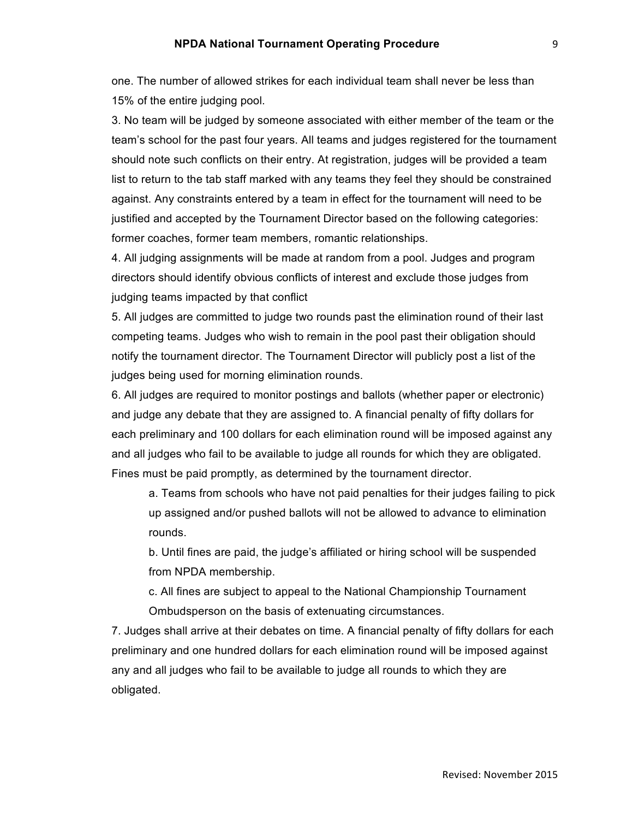one. The number of allowed strikes for each individual team shall never be less than 15% of the entire judging pool.

3. No team will be judged by someone associated with either member of the team or the team's school for the past four years. All teams and judges registered for the tournament should note such conflicts on their entry. At registration, judges will be provided a team list to return to the tab staff marked with any teams they feel they should be constrained against. Any constraints entered by a team in effect for the tournament will need to be justified and accepted by the Tournament Director based on the following categories: former coaches, former team members, romantic relationships.

4. All judging assignments will be made at random from a pool. Judges and program directors should identify obvious conflicts of interest and exclude those judges from judging teams impacted by that conflict

5. All judges are committed to judge two rounds past the elimination round of their last competing teams. Judges who wish to remain in the pool past their obligation should notify the tournament director. The Tournament Director will publicly post a list of the judges being used for morning elimination rounds.

6. All judges are required to monitor postings and ballots (whether paper or electronic) and judge any debate that they are assigned to. A financial penalty of fifty dollars for each preliminary and 100 dollars for each elimination round will be imposed against any and all judges who fail to be available to judge all rounds for which they are obligated. Fines must be paid promptly, as determined by the tournament director.

a. Teams from schools who have not paid penalties for their judges failing to pick up assigned and/or pushed ballots will not be allowed to advance to elimination rounds.

b. Until fines are paid, the judge's affiliated or hiring school will be suspended from NPDA membership.

c. All fines are subject to appeal to the National Championship Tournament Ombudsperson on the basis of extenuating circumstances.

7. Judges shall arrive at their debates on time. A financial penalty of fifty dollars for each preliminary and one hundred dollars for each elimination round will be imposed against any and all judges who fail to be available to judge all rounds to which they are obligated.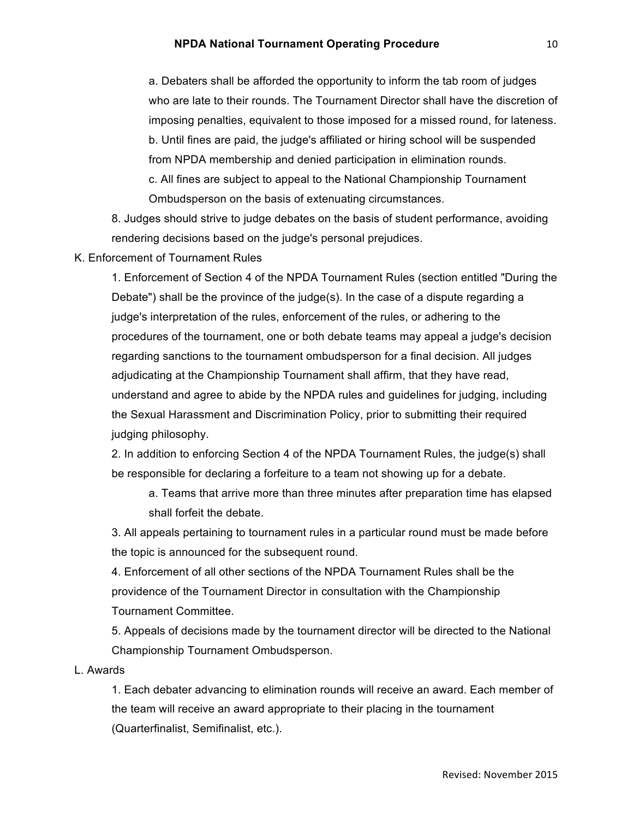a. Debaters shall be afforded the opportunity to inform the tab room of judges who are late to their rounds. The Tournament Director shall have the discretion of imposing penalties, equivalent to those imposed for a missed round, for lateness. b. Until fines are paid, the judge's affiliated or hiring school will be suspended from NPDA membership and denied participation in elimination rounds. c. All fines are subject to appeal to the National Championship Tournament Ombudsperson on the basis of extenuating circumstances.

8. Judges should strive to judge debates on the basis of student performance, avoiding rendering decisions based on the judge's personal prejudices.

K. Enforcement of Tournament Rules

1. Enforcement of Section 4 of the NPDA Tournament Rules (section entitled "During the Debate") shall be the province of the judge(s). In the case of a dispute regarding a judge's interpretation of the rules, enforcement of the rules, or adhering to the procedures of the tournament, one or both debate teams may appeal a judge's decision regarding sanctions to the tournament ombudsperson for a final decision. All judges adjudicating at the Championship Tournament shall affirm, that they have read, understand and agree to abide by the NPDA rules and guidelines for judging, including the Sexual Harassment and Discrimination Policy, prior to submitting their required judging philosophy.

2. In addition to enforcing Section 4 of the NPDA Tournament Rules, the judge(s) shall be responsible for declaring a forfeiture to a team not showing up for a debate.

a. Teams that arrive more than three minutes after preparation time has elapsed shall forfeit the debate.

3. All appeals pertaining to tournament rules in a particular round must be made before the topic is announced for the subsequent round.

4. Enforcement of all other sections of the NPDA Tournament Rules shall be the providence of the Tournament Director in consultation with the Championship Tournament Committee.

5. Appeals of decisions made by the tournament director will be directed to the National Championship Tournament Ombudsperson.

#### L. Awards

1. Each debater advancing to elimination rounds will receive an award. Each member of the team will receive an award appropriate to their placing in the tournament (Quarterfinalist, Semifinalist, etc.).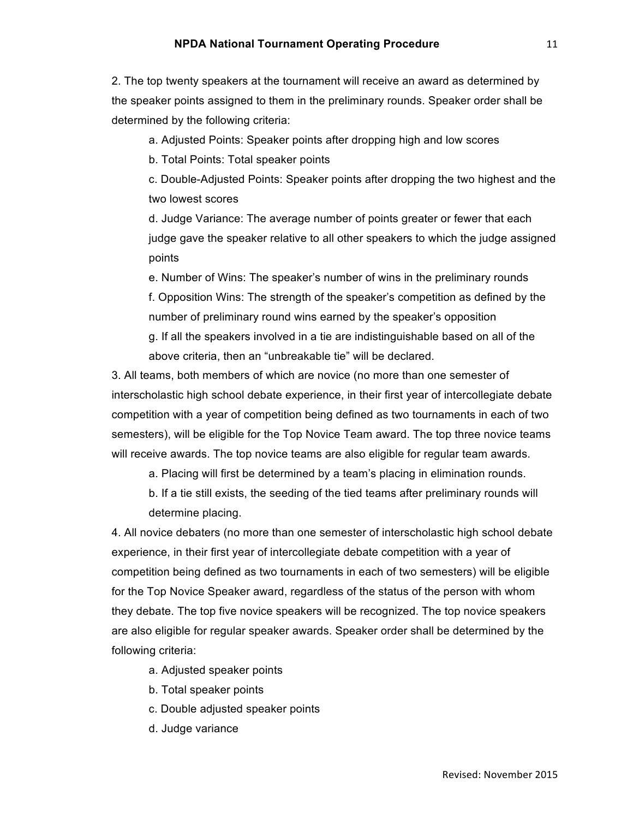2. The top twenty speakers at the tournament will receive an award as determined by the speaker points assigned to them in the preliminary rounds. Speaker order shall be determined by the following criteria:

a. Adjusted Points: Speaker points after dropping high and low scores

b. Total Points: Total speaker points

c. Double-Adjusted Points: Speaker points after dropping the two highest and the two lowest scores

d. Judge Variance: The average number of points greater or fewer that each judge gave the speaker relative to all other speakers to which the judge assigned points

e. Number of Wins: The speaker's number of wins in the preliminary rounds f. Opposition Wins: The strength of the speaker's competition as defined by the number of preliminary round wins earned by the speaker's opposition g. If all the speakers involved in a tie are indistinguishable based on all of the above criteria, then an "unbreakable tie" will be declared.

3. All teams, both members of which are novice (no more than one semester of interscholastic high school debate experience, in their first year of intercollegiate debate competition with a year of competition being defined as two tournaments in each of two semesters), will be eligible for the Top Novice Team award. The top three novice teams will receive awards. The top novice teams are also eligible for regular team awards.

a. Placing will first be determined by a team's placing in elimination rounds.

b. If a tie still exists, the seeding of the tied teams after preliminary rounds will determine placing.

4. All novice debaters (no more than one semester of interscholastic high school debate experience, in their first year of intercollegiate debate competition with a year of competition being defined as two tournaments in each of two semesters) will be eligible for the Top Novice Speaker award, regardless of the status of the person with whom they debate. The top five novice speakers will be recognized. The top novice speakers are also eligible for regular speaker awards. Speaker order shall be determined by the following criteria:

a. Adjusted speaker points

- b. Total speaker points
- c. Double adjusted speaker points
- d. Judge variance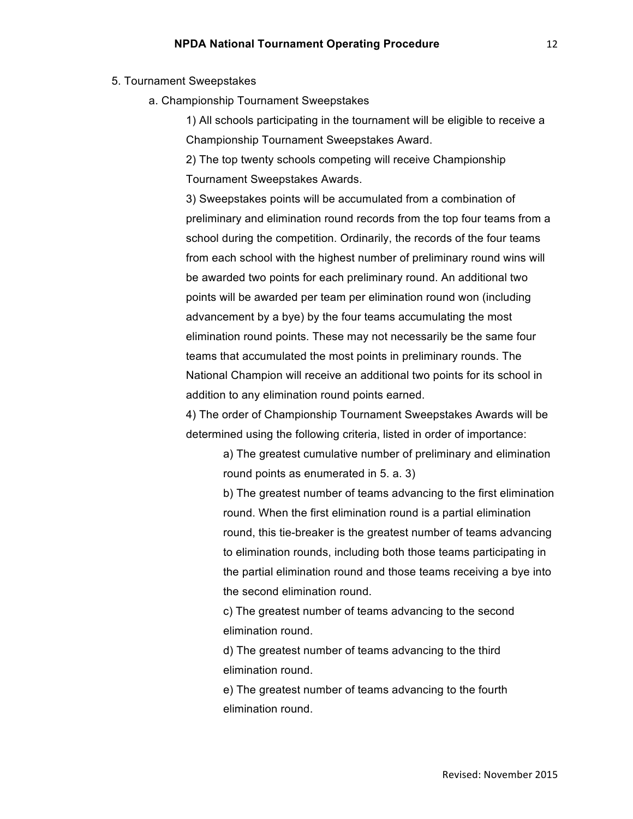- 5. Tournament Sweepstakes
	- a. Championship Tournament Sweepstakes

1) All schools participating in the tournament will be eligible to receive a Championship Tournament Sweepstakes Award.

2) The top twenty schools competing will receive Championship Tournament Sweepstakes Awards.

3) Sweepstakes points will be accumulated from a combination of preliminary and elimination round records from the top four teams from a school during the competition. Ordinarily, the records of the four teams from each school with the highest number of preliminary round wins will be awarded two points for each preliminary round. An additional two points will be awarded per team per elimination round won (including advancement by a bye) by the four teams accumulating the most elimination round points. These may not necessarily be the same four teams that accumulated the most points in preliminary rounds. The National Champion will receive an additional two points for its school in addition to any elimination round points earned.

4) The order of Championship Tournament Sweepstakes Awards will be determined using the following criteria, listed in order of importance:

> a) The greatest cumulative number of preliminary and elimination round points as enumerated in 5. a. 3)

> b) The greatest number of teams advancing to the first elimination round. When the first elimination round is a partial elimination round, this tie-breaker is the greatest number of teams advancing to elimination rounds, including both those teams participating in the partial elimination round and those teams receiving a bye into the second elimination round.

c) The greatest number of teams advancing to the second elimination round.

d) The greatest number of teams advancing to the third elimination round.

e) The greatest number of teams advancing to the fourth elimination round.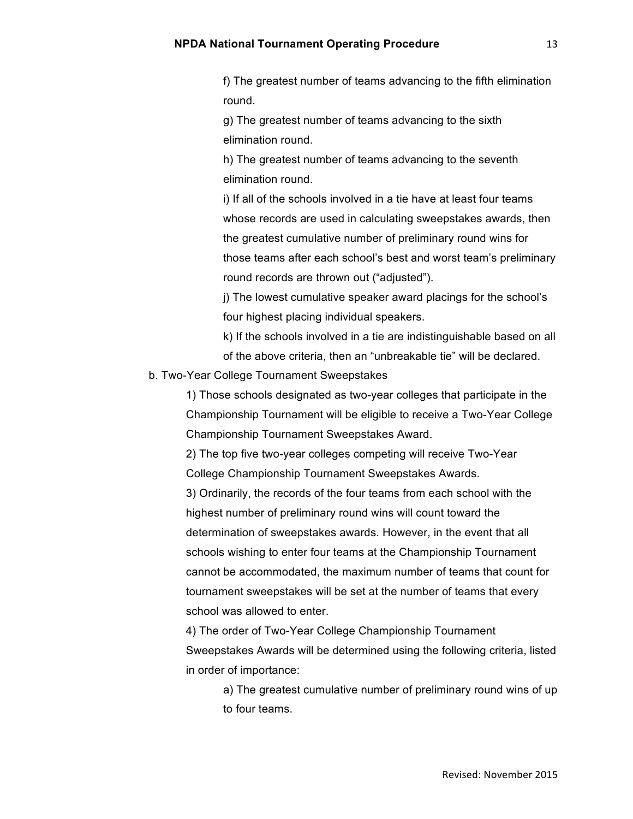13

f) The greatest number of teams advancing to the fifth elimination round.

g) The greatest number of teams advancing to the sixth elimination round.

h) The greatest number of teams advancing to the seventh elimination round.

i) If all of the schools involved in a tie have at least four teams whose records are used in calculating sweepstakes awards, then the greatest cumulative number of preliminary round wins for those teams after each school's best and worst team's preliminary round records are thrown out ("adjusted").

j) The lowest cumulative speaker award placings for the school's four highest placing individual speakers.

k) If the schools involved in a tie are indistinguishable based on all of the above criteria, then an "unbreakable tie" will be declared.

# b. Two-Year College Tournament Sweepstakes

1) Those schools designated as two-year colleges that participate in the Championship Tournament will be eligible to receive a Two-Year College Championship Tournament Sweepstakes Award.

2) The top five two-year colleges competing will receive Two-Year College Championship Tournament Sweepstakes Awards.

3) Ordinarily, the records of the four teams from each school with the highest number of preliminary round wins will count toward the determination of sweepstakes awards. However, in the event that all schools wishing to enter four teams at the Championship Tournament cannot be accommodated, the maximum number of teams that count for tournament sweepstakes will be set at the number of teams that every school was allowed to enter.

4) The order of Two-Year College Championship Tournament Sweepstakes Awards will be determined using the following criteria, listed in order of importance:

a) The greatest cumulative number of preliminary round wins of up to four teams.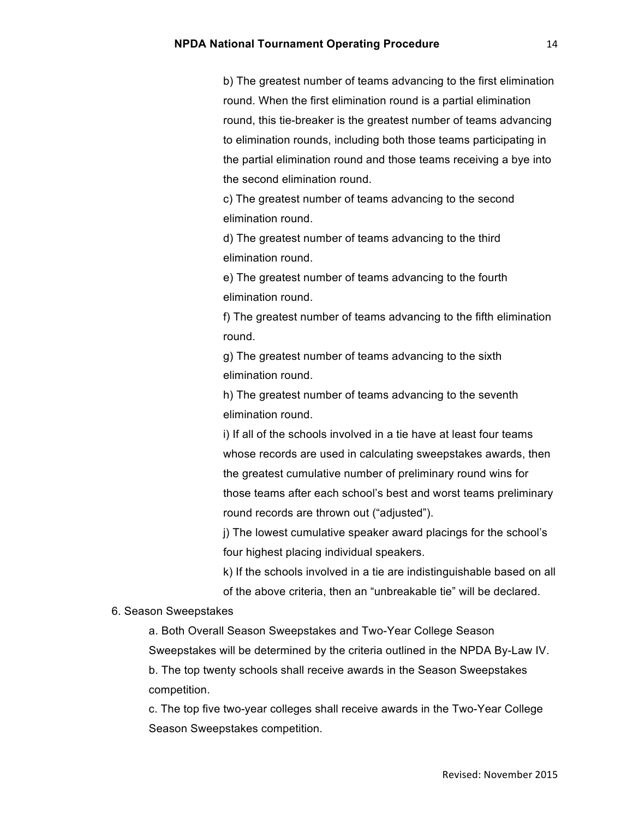b) The greatest number of teams advancing to the first elimination round. When the first elimination round is a partial elimination round, this tie-breaker is the greatest number of teams advancing to elimination rounds, including both those teams participating in the partial elimination round and those teams receiving a bye into the second elimination round.

c) The greatest number of teams advancing to the second elimination round.

d) The greatest number of teams advancing to the third elimination round.

e) The greatest number of teams advancing to the fourth elimination round.

f) The greatest number of teams advancing to the fifth elimination round.

g) The greatest number of teams advancing to the sixth elimination round.

h) The greatest number of teams advancing to the seventh elimination round.

i) If all of the schools involved in a tie have at least four teams whose records are used in calculating sweepstakes awards, then the greatest cumulative number of preliminary round wins for those teams after each school's best and worst teams preliminary round records are thrown out ("adjusted").

j) The lowest cumulative speaker award placings for the school's four highest placing individual speakers.

k) If the schools involved in a tie are indistinguishable based on all of the above criteria, then an "unbreakable tie" will be declared.

#### 6. Season Sweepstakes

a. Both Overall Season Sweepstakes and Two-Year College Season Sweepstakes will be determined by the criteria outlined in the NPDA By-Law IV.

b. The top twenty schools shall receive awards in the Season Sweepstakes competition.

c. The top five two-year colleges shall receive awards in the Two-Year College Season Sweepstakes competition.